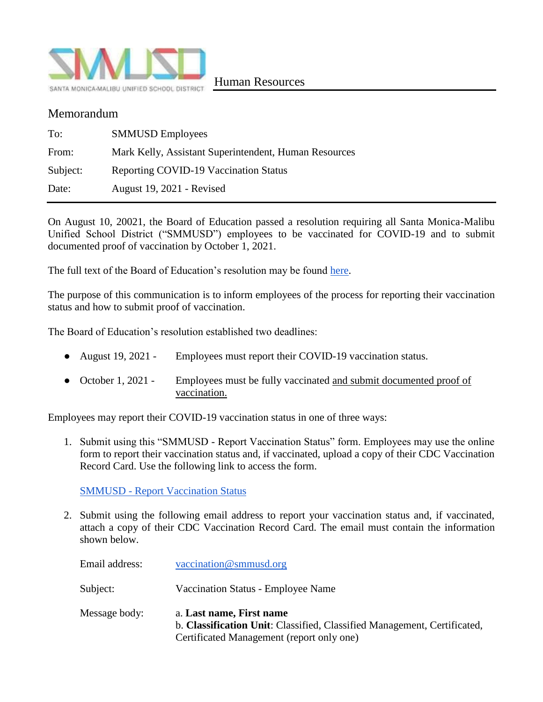

## Memorandum

| To:      | <b>SMMUSD Employees</b>                               |
|----------|-------------------------------------------------------|
| From:    | Mark Kelly, Assistant Superintendent, Human Resources |
| Subject: | Reporting COVID-19 Vaccination Status                 |
| Date:    | August 19, 2021 - Revised                             |

On August 10, 20021, the Board of Education passed a resolution requiring all Santa Monica-Malibu Unified School District ("SMMUSD") employees to be vaccinated for COVID-19 and to submit documented proof of vaccination by October 1, 2021.

The full text of the Board of Education's resolution may be found [here.](https://drive.google.com/file/d/1fuYb_gxstgeeb2W5D_n93WEp5gdxWXYI/view?usp=sharing)

The purpose of this communication is to inform employees of the process for reporting their vaccination status and how to submit proof of vaccination.

The Board of Education's resolution established two deadlines:

- August 19, 2021 Employees must report their COVID-19 vaccination status.
- October 1, 2021 Employees must be fully vaccinated and submit documented proof of vaccination.

Employees may report their COVID-19 vaccination status in one of three ways:

1. Submit using this "SMMUSD - Report Vaccination Status" form. Employees may use the online form to report their vaccination status and, if vaccinated, upload a copy of their CDC Vaccination Record Card. Use the following link to access the form.

SMMUSD - [Report Vaccination Status](https://forms.gle/546zxhD6Fum4MNAZ9)

2. Submit using the following email address to report your vaccination status and, if vaccinated, attach a copy of their CDC Vaccination Record Card. The email must contain the information shown below.

| Email address: | vaccination@smmusd.org                                                                                                                            |
|----------------|---------------------------------------------------------------------------------------------------------------------------------------------------|
| Subject:       | Vaccination Status - Employee Name                                                                                                                |
| Message body:  | a. Last name, First name<br>b. Classification Unit: Classified, Classified Management, Certificated,<br>Certificated Management (report only one) |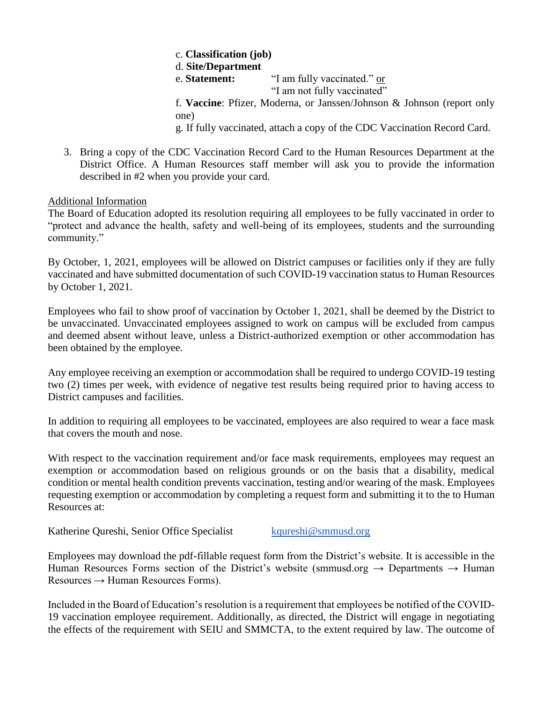c. **Classification (job)** d. **Site/Department** e. **Statement:** "I am fully vaccinated." or "I am not fully vaccinated" f. **Vaccine**: Pfizer, Moderna, or Janssen/Johnson & Johnson (report only one)

g. If fully vaccinated, attach a copy of the CDC Vaccination Record Card.

3. Bring a copy of the CDC Vaccination Record Card to the Human Resources Department at the District Office. A Human Resources staff member will ask you to provide the information described in #2 when you provide your card.

## Additional Information

The Board of Education adopted its resolution requiring all employees to be fully vaccinated in order to "protect and advance the health, safety and well-being of its employees, students and the surrounding community."

By October, 1, 2021, employees will be allowed on District campuses or facilities only if they are fully vaccinated and have submitted documentation of such COVID-19 vaccination status to Human Resources by October 1, 2021.

Employees who fail to show proof of vaccination by October 1, 2021, shall be deemed by the District to be unvaccinated. Unvaccinated employees assigned to work on campus will be excluded from campus and deemed absent without leave, unless a District-authorized exemption or other accommodation has been obtained by the employee.

Any employee receiving an exemption or accommodation shall be required to undergo COVID-19 testing two (2) times per week, with evidence of negative test results being required prior to having access to District campuses and facilities.

In addition to requiring all employees to be vaccinated, employees are also required to wear a face mask that covers the mouth and nose.

With respect to the vaccination requirement and/or face mask requirements, employees may request an exemption or accommodation based on religious grounds or on the basis that a disability, medical condition or mental health condition prevents vaccination, testing and/or wearing of the mask. Employees requesting exemption or accommodation by completing a request form and submitting it to the to Human Resources at:

Katherine Qureshi, Senior Office Specialist [kqureshi@smmusd.org](mailto:kqureshi@smmusd.org)

Employees may download the pdf-fillable request form from the District's website. It is accessible in the Human Resources Forms section of the District's website (smmusd.org  $\rightarrow$  Departments  $\rightarrow$  Human  $Resources \rightarrow Human Resources \,\, Forms.$ 

Included in the Board of Education's resolution is a requirement that employees be notified of the COVID-19 vaccination employee requirement. Additionally, as directed, the District will engage in negotiating the effects of the requirement with SEIU and SMMCTA, to the extent required by law. The outcome of